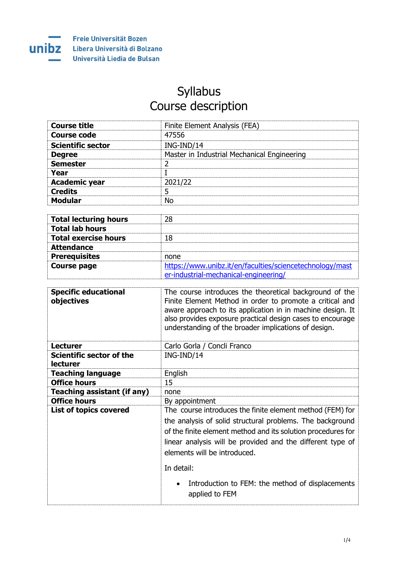

## Syllabus Course description

| <b>Course title</b>      | Finite Element Analysis (FEA)               |
|--------------------------|---------------------------------------------|
| Course code              | 47556                                       |
| <b>Scientific sector</b> | ING-IND/14                                  |
| <b>Degree</b>            | Master in Industrial Mechanical Engineering |
| <b>Semester</b>          |                                             |
| Year                     |                                             |
| <b>Academic year</b>     | 2021/22                                     |
| <b>Credits</b>           |                                             |
| Modular                  |                                             |

| <b>Total lecturing hours</b> | 28                                                       |
|------------------------------|----------------------------------------------------------|
| <b>Total lab hours</b>       |                                                          |
| <b>Total exercise hours</b>  | 18                                                       |
| <b>Attendance</b>            |                                                          |
| <b>Prerequisites</b>         | none                                                     |
| <b>Course page</b>           | https://www.unibz.it/en/faculties/sciencetechnology/mast |
|                              | er-industrial-mechanical-engineering/                    |

| <b>Specific educational</b><br>objectives   | The course introduces the theoretical background of the<br>Finite Element Method in order to promote a critical and<br>aware approach to its application in in machine design. It<br>also provides exposure practical design cases to encourage<br>understanding of the broader implications of design. |
|---------------------------------------------|---------------------------------------------------------------------------------------------------------------------------------------------------------------------------------------------------------------------------------------------------------------------------------------------------------|
| Lecturer                                    | Carlo Gorla / Concli Franco                                                                                                                                                                                                                                                                             |
| Scientific sector of the<br><b>lecturer</b> | ING-IND/14                                                                                                                                                                                                                                                                                              |
| <b>Teaching language</b>                    | English                                                                                                                                                                                                                                                                                                 |
| <b>Office hours</b>                         | 15                                                                                                                                                                                                                                                                                                      |
| Teaching assistant (if any)                 | none                                                                                                                                                                                                                                                                                                    |
| <b>Office hours</b>                         | By appointment                                                                                                                                                                                                                                                                                          |
| <b>List of topics covered</b>               | The course introduces the finite element method (FEM) for<br>the analysis of solid structural problems. The background<br>of the finite element method and its solution procedures for<br>linear analysis will be provided and the different type of<br>elements will be introduced.                    |
|                                             | In detail:                                                                                                                                                                                                                                                                                              |
|                                             | Introduction to FEM: the method of displacements<br>$\bullet$<br>applied to FEM                                                                                                                                                                                                                         |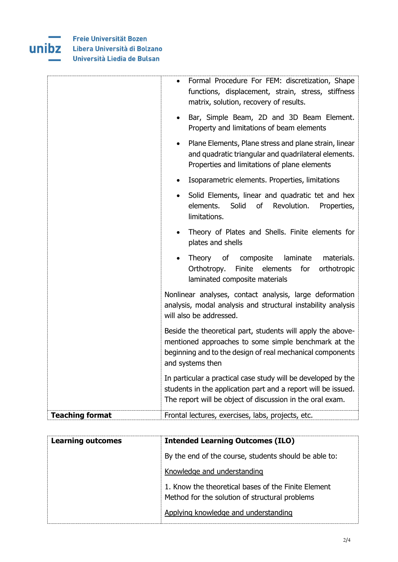

|                        | Formal Procedure For FEM: discretization, Shape<br>$\bullet$<br>functions, displacement, strain, stress, stiffness<br>matrix, solution, recovery of results.                                         |
|------------------------|------------------------------------------------------------------------------------------------------------------------------------------------------------------------------------------------------|
|                        | Bar, Simple Beam, 2D and 3D Beam Element.<br>$\bullet$<br>Property and limitations of beam elements                                                                                                  |
|                        | Plane Elements, Plane stress and plane strain, linear<br>$\bullet$<br>and quadratic triangular and quadrilateral elements.<br>Properties and limitations of plane elements                           |
|                        | Isoparametric elements. Properties, limitations<br>$\bullet$                                                                                                                                         |
|                        | Solid Elements, linear and quadratic tet and hex<br>$\bullet$<br>elements.<br>Solid<br>of<br>Revolution.<br>Properties,<br>limitations.                                                              |
|                        | Theory of Plates and Shells. Finite elements for<br>$\bullet$<br>plates and shells                                                                                                                   |
|                        | Theory<br>of<br>composite<br>laminate<br>materials.<br>Finite<br>Orthotropy.<br>elements<br>for<br>orthotropic<br>laminated composite materials                                                      |
|                        | Nonlinear analyses, contact analysis, large deformation<br>analysis, modal analysis and structural instability analysis<br>will also be addressed.                                                   |
|                        | Beside the theoretical part, students will apply the above-<br>mentioned approaches to some simple benchmark at the<br>beginning and to the design of real mechanical components<br>and systems then |
|                        | In particular a practical case study will be developed by the<br>students in the application part and a report will be issued.<br>The report will be object of discussion in the oral exam.          |
| <b>Teaching format</b> | Frontal lectures, exercises, labs, projects, etc.                                                                                                                                                    |

| <b>Learning outcomes</b> | <b>Intended Learning Outcomes (ILO)</b>                                                               |
|--------------------------|-------------------------------------------------------------------------------------------------------|
|                          | By the end of the course, students should be able to:                                                 |
|                          | Knowledge and understanding                                                                           |
|                          | 1. Know the theoretical bases of the Finite Element<br>Method for the solution of structural problems |
|                          | Applying knowledge and understanding                                                                  |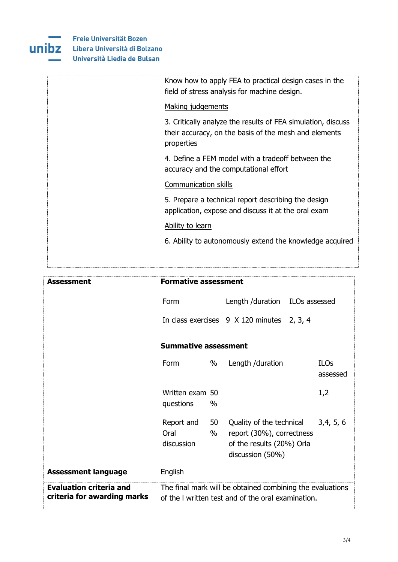

| Know how to apply FEA to practical design cases in the<br>field of stress analysis for machine design.                              |
|-------------------------------------------------------------------------------------------------------------------------------------|
| Making judgements                                                                                                                   |
| 3. Critically analyze the results of FEA simulation, discuss<br>their accuracy, on the basis of the mesh and elements<br>properties |
| 4. Define a FEM model with a tradeoff between the<br>accuracy and the computational effort                                          |
| Communication skills                                                                                                                |
| 5. Prepare a technical report describing the design<br>application, expose and discuss it at the oral exam                          |
| Ability to learn                                                                                                                    |
| 6. Ability to autonomously extend the knowledge acquired                                                                            |
|                                                                                                                                     |

| Assessment                                                    | <b>Formative assessment</b>                 |                                                                                                                 |                         |
|---------------------------------------------------------------|---------------------------------------------|-----------------------------------------------------------------------------------------------------------------|-------------------------|
|                                                               | Form                                        | Length /duration ILOs assessed                                                                                  |                         |
|                                                               |                                             | In class exercises 9 X 120 minutes 2, 3, 4                                                                      |                         |
|                                                               | <b>Summative assessment</b>                 |                                                                                                                 |                         |
|                                                               | %<br>Form                                   | Length /duration                                                                                                | <b>ILOs</b><br>assessed |
|                                                               | Written exam 50<br>$\%$<br>questions        |                                                                                                                 | 1,2                     |
|                                                               | Report and<br>50<br>Oral<br>%<br>discussion | Quality of the technical<br>report (30%), correctness<br>of the results (20%) Orla<br>discussion (50%)          | 3,4,5,6                 |
| <b>Assessment language</b>                                    | English                                     |                                                                                                                 |                         |
| <b>Evaluation criteria and</b><br>criteria for awarding marks |                                             | The final mark will be obtained combining the evaluations<br>of the I written test and of the oral examination. |                         |